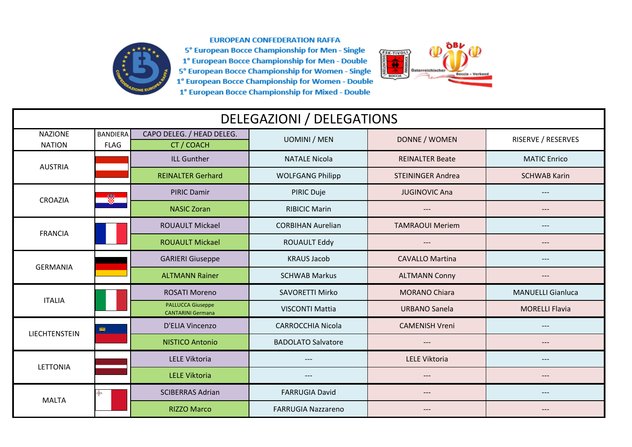

## **EUROPEAN CONFEDERATION RAFFA**

5° European Bocce Championship for Men - Single 1° European Bocce Championship for Men - Double 5° European Bocce Championship for Women - Single 1<sup>°</sup> European Bocce Championship for Women - Double 1° European Bocce Championship for Mixed - Double



| <b>DELEGAZIONI / DELEGATIONS</b> |                                |                                                      |                           |                          |                          |  |  |  |
|----------------------------------|--------------------------------|------------------------------------------------------|---------------------------|--------------------------|--------------------------|--|--|--|
| <b>NAZIONE</b><br><b>NATION</b>  | <b>BANDIERA</b><br><b>FLAG</b> | CAPO DELEG. / HEAD DELEG.<br>CT / COACH              | <b>UOMINI / MEN</b>       | DONNE / WOMEN            | RISERVE / RESERVES       |  |  |  |
| <b>AUSTRIA</b>                   |                                | <b>ILL Gunther</b>                                   | <b>NATALE Nicola</b>      | <b>REINALTER Beate</b>   | <b>MATIC Enrico</b>      |  |  |  |
|                                  |                                | <b>REINALTER Gerhard</b>                             | <b>WOLFGANG Philipp</b>   | <b>STEININGER Andrea</b> | <b>SCHWAB Karin</b>      |  |  |  |
| CROAZIA                          | 巖                              | <b>PIRIC Damir</b>                                   | PIRIC Duje                | <b>JUGINOVIC Ana</b>     | $---$                    |  |  |  |
|                                  |                                | <b>NASIC Zoran</b>                                   | <b>RIBICIC Marin</b>      | $---$                    | $---$                    |  |  |  |
| <b>FRANCIA</b>                   |                                | <b>ROUAULT Mickael</b>                               | <b>CORBIHAN Aurelian</b>  | <b>TAMRAOUI Meriem</b>   | $---$                    |  |  |  |
|                                  |                                | <b>ROUAULT Mickael</b>                               | <b>ROUAULT Eddy</b>       | ---                      | $---$                    |  |  |  |
| <b>GERMANIA</b>                  |                                | <b>GARIERI Giuseppe</b>                              | <b>KRAUS Jacob</b>        | <b>CAVALLO Martina</b>   | $---$                    |  |  |  |
|                                  |                                | <b>ALTMANN Rainer</b>                                | <b>SCHWAB Markus</b>      | <b>ALTMANN Conny</b>     | $---$                    |  |  |  |
| <b>ITALIA</b>                    |                                | <b>ROSATI Moreno</b>                                 | <b>SAVORETTI Mirko</b>    | <b>MORANO Chiara</b>     | <b>MANUELLI Gianluca</b> |  |  |  |
|                                  |                                | <b>PALLUCCA Giuseppe</b><br><b>CANTARINI Germana</b> | <b>VISCONTI Mattia</b>    | <b>URBANO Sanela</b>     | <b>MORELLI Flavia</b>    |  |  |  |
| LIECHTENSTEIN                    | 機能                             | D'ELIA Vincenzo                                      | <b>CARROCCHIA Nicola</b>  | <b>CAMENISH Vreni</b>    | $---$                    |  |  |  |
|                                  |                                | <b>NISTICO Antonio</b>                               | <b>BADOLATO Salvatore</b> | ---                      | ---                      |  |  |  |
| <b>LETTONIA</b>                  |                                | LELE Viktoria                                        |                           | <b>LELE Viktoria</b>     | $---$                    |  |  |  |
|                                  |                                | <b>LELE Viktoria</b>                                 | ---                       | ---                      | $---$                    |  |  |  |
| <b>MALTA</b>                     |                                | <b>SCIBERRAS Adrian</b>                              | <b>FARRUGIA David</b>     | $---$                    | $---$                    |  |  |  |
|                                  |                                | <b>RIZZO Marco</b>                                   | <b>FARRUGIA Nazzareno</b> | ---                      | $---$                    |  |  |  |